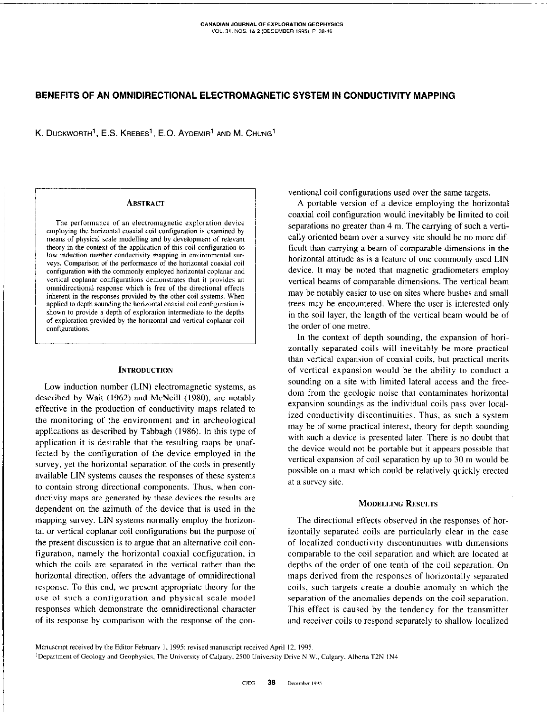# BENEFITS OF AN OMNIDIRECTIONAL ELECTROMAGNETIC SYSTEM IN CONDUCTIVITY MAPPING

K. DUCKWORTH<sup>1</sup>, E.S. KREBES<sup>1</sup>, E.O. AYDEMIR<sup>1</sup> AND M. CHUNG<sup>1</sup>

#### ABSTRACT

The performance of an electromagnetic exploration device employing the horizontal coaxial coil configuration is examined by means of physical scale modelling and by development of relevant theory in the context of the application of this coil configuration to low induction number conductivity mapping in environmental surveys. Comparison of the performance of the horizontal coaxial coil configuration with the commonly employed horizontal coplanar and vertical coplanar configurations demonstrates that it provides an omnidirectional response which is free of the directional effects inherent in the responses provided by the other coil systems. When applied to depth sounding the horizontal coaxial coil configuration is shown to provide a depth of exploration intermediate to the depths of exploration provided by the horizontal and vertical coplanar coil configurations.

## **INTRODUCTION**

Low induction number (LIN) electromagnetic systems, as described by Wait (1962) and McNeill (1980), are notably effective in the production of conductivity maps related to the monitoring of the environment and in archeological applications as described by Tabbagb (1986). in this type of application it is desirable that the resulting maps be unaffected by the configuration of the device employed in the survey, yet the horizontal separation of the coils in presently available LIN systems causes the responses of these systems to contain strong directional components. Thus, when conductivity maps are generated by these devices the results are dependent on the azimuth of the device that is used in the mapping survey. LIN systems normally employ the horizontal or vertical coplanar coil configurations but the purpose of the present discussion is to argue that an alternative coil configuration, namely the horizontal coaxial configuration, in which the coils are separated in the vertical rather than the horizontal direction, offers the advantage of omnidirectional response. To this end, we present appropriate theory for the use of such a configuration and physical scale model responses which demonstrate the omnidirectional character of its response by comparison with the response of the conventional coil configurations used over the same targets.

A portable version of a device employing the horizontal coaxial coil configuration would inevitably be limited to coil separations no greater than 4 m. The carrying of such a vertically oriented beam over a survey site should be no more difficult than carrying a beam of comparable dimensions in the horizontal attitude as is a feature of one commonly used LIN device. It may be noted that magnetic gradiometers employ vertical beams of comparable dimensions. The vertical beam may be notably easier to use on sites where bushes and small trees may be encountered. Where the user is interested only in the soil layer, the length of the vertical beam would be of the order of one metre.

In the context of depth sounding, the expansion of horizontally separated coils will inevitably be more practical than vertical expansion of coaxial coils, but practical merits of vertical expansion would be the ability to conduct a sounding on a site with limited lateral access and the freedom from the geologic noise that contaminates horizontal expansion soundings as the individual coils pass over localired conductivity discontinuities. Thus, as such a system may be of some practical interest, theory for depth sounding with such a device is presented later. There is no doubt that the device would not be portable but it appears possible that vertical expansion of coil separation by up to 30 m would be possible on a mast which could be relatively quickly erected at a survey site.

### MODELLING RESULTS

The directional effects observed in the responses of horizontally separated coils are particularly clear in the case of localized conductivity discontinuities with dimensions comparable to the coil separation and which are located at depths of the order of one tenth of the coil separation. On maps derived from the responses of horizontally separated coils, such targets create a double anomaly in which the separation of the anomalies depends on the coil separation. This effect is caused by the tendency for the transmitter and receiver coils to respond separately to shallow localised

Manuscript received by the Editor February 1, 1995: revised manuscript received April 12, 1995. <sup>1</sup>Department of Geology and Geophysics, The University of Calgary, 2500 University Drive N.W., Calgary, Alberta T2N 1N4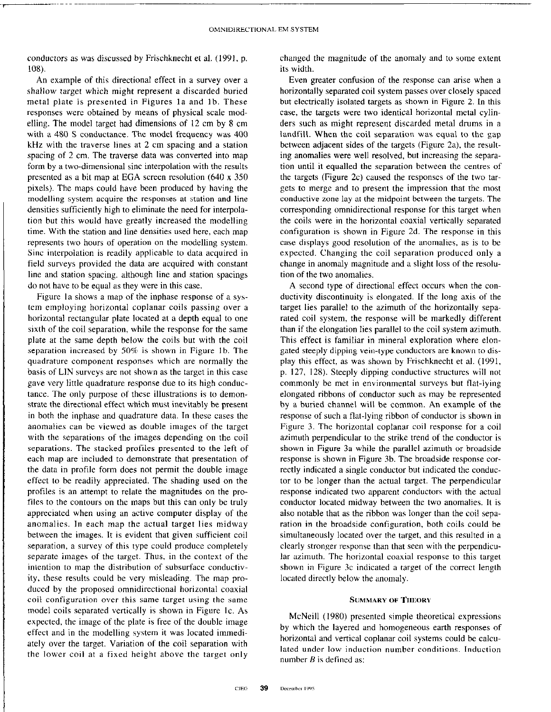conductors as was discussed by Frischknecht et al. (1991, p. 108).

An example of this directional effect in a survey over a shallow target which might represent a discarded buried metal plate is presented in Figures la and lb. These responses were obtained by means of physical scale modelling. The model target had dimensions of 12 cm by 8 cm with a 480 S conductance. The model frequency was 400 kHz with the traverse lines at 2 cm spacing and a station spacing of 2 cm. The traverse data was converted into map form by a two-dimensional sine interpolation with the results presented as a bit map at EGA screen resolution (640 x 350 pixels). The maps could have been produced by having the modelling system acquire the responses at station and line densities sufficiently high to eliminate the need for interpolation but this would have greatly increased the modelling time. With the station and line densities used here, each map represents two hours of operation on the modelling system. Sine interpolation is readily applicable to data acquired in field surveys provided the data are acquired with constant line and station spacing. although line and station spacings do not have to be equal as they were in this case.

Figure la shows a map of the inphase response of a system employing horizontal coplanar coils passing over a horizontal rectangular plate located at a depth equal to one sixth of the coil separation, while the response for the same plate at the same depth below the coils but with the coil separation increased by 50% is shown in Figure lb. The quadrature component responses which are normally the basis of LIN surveys are not shown as the target in this case gave very little quadrature response due to its high conductance. The only purpose of these illustrations is to demonstrate the directional effect which must inevitably be present in both the inphase and quadrature data. In these cases the anomalies can be viewed as double images of the target with the separations of the images depending on the coil separations. The stacked profiles presented to the left of each map are included to demonstrate that presentation of the data in profile form does not permit the double image effect to be readily appreciated. The shading used on the profiles is an attempt to relate the magnitudes on the profiles to the contours on the maps but this can only be truly appreciated when using an active computer display of the anomalies. In each map the actual target lies midway between the images. It is evident that given sufficient coil separation, a survey of this type could produce completely separate images of the target. Thus, in the context of the intention to map the distribution of subsurface conductivity, these results could be very misleading. The map produced by the proposed omnidirectional horizontal coaxial coil configuration over this same target using the same model coils separated vertically is shown in Figure Ic. As expected, the image of the plate is free of the double image effect and in the modelling system it was located immediately over the target. Variation of the coil separation with the lower coil at a fixed height above the target only

changed the magnitude of the anomaly and to some extent its width.

Even greater confusion of the response can arise when a horizontally separated coil system passes over closely spaced but electrically isolated targets as shown in Figure 2. In this case, the targets were two identical horizontal metal cylinders such as might represent discarded metal drums in a landfill. When the coil separation was equal to the gap between adjacent sides of the targets (Figure 2a), the resulting anomalies were well resolved, but increasing the separation until it equalled the separation between the centres of the targets (Figure  $2c$ ) caused the responses of the two targets to merge and to present the impression that the most conductive zone lay at the midpoint between the targets. The corresponding omnidirectional response for this target when the coils were in the horizontal coaxial vertically separated configuration is shown in Figure 2d. The response in this case displays good resolution of the anomalies, as is to be expected. Changing the coil separation produced only a change in anomaly magnitude and a slight loss of the resolution of the two anomalies.

A second type of directional effect occurs when the conductivity discontinuity is elongated. If the long axis of the target lies parallel to the azimuth of the horizontally separated coil system, the response will be markedly different than if the elongation lies parallel to the coil system azimuth. This effect is familiar in mineral exploration where elongated steeply dipping vein-type conductors are known to display this effect, as was shown by Frischknecht et al. (1991, p. 127, 128). Steeply dipping conductive structwes will not commonly be met in environmental surveys but flat-lying elongated ribbons of conductor such as may be represented hy a buried channel will he common. An example of the response of such a flat-lying ribbon of conductor is shown in Figure 3. The horizontal coplanar coil response for a coil azimuth perpendicular to the strike trend of the conductor is shown in Figure 3a while the parallel azimuth or broadside response is shown in Figure 3b. The broadside response carrectly indicated a single conductor but indicated the conductor to be longer than the actual target. The perpendicular response indicated two apparent conductors with the actual conductor located midway between the two anomalies. It is also notable that as the ribbon was longer than the coil separation in the broadside configuration, both coils could be simultaneously located over the target, and this resulted in a clearly stronger response than that seen with the perpendicular azimuth. The horizontal coaxial response to this target shown in Figure 3c indicated a target of the correct length located directly below the anomaly.

#### SUMMARY OF THEOKY

McNeil1 (1980) presented simple theoretical expressions by which the layered and homogeneous earth responses of horizontal and vertical coplanar coil systems could be calculated under low induction number conditions. Induction number  $B$  is defined as: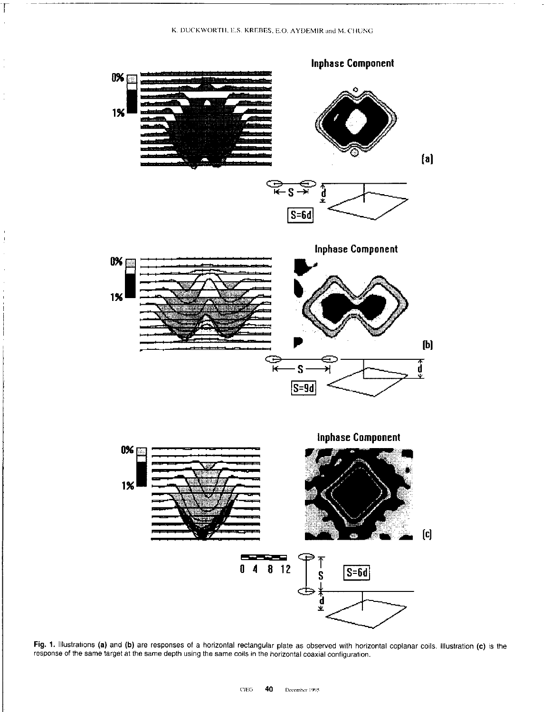K. DUCKWORTH, E.S. KREBES, E.O. AYDEMIR and M. CHUNG

 $\overline{\mathcal{L}}$ 

÷,

J.  $\frac{1}{2}$ 



Fig. 1. Illustrations (a) and (b) are responses of a horizontal rectangular plate as observed with horizontal coplanar coils. Illustration (c) is the response of the same target at the same depth using the same coils in the horizontal coaxial configuration.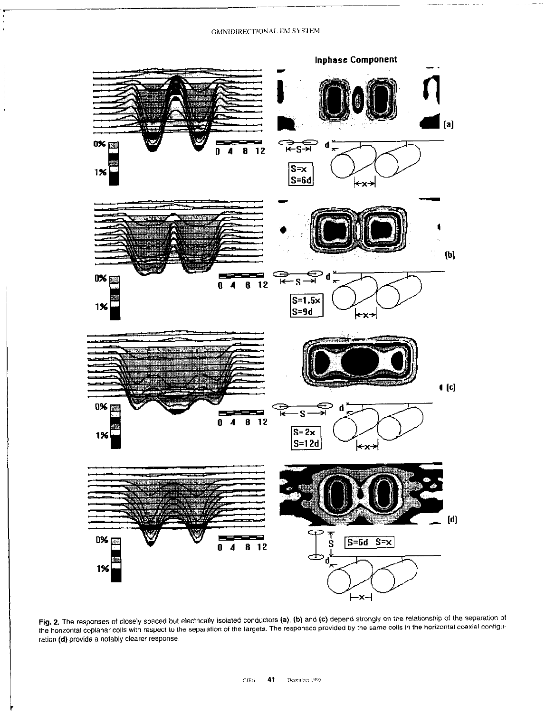### OMNIDIRECTIONAL EM SYSTEM



Fig. 2. The responses of closely spaced but electrically isolated conductors (a), (b) and (c) depend strongly on the relationship of the separation of the horizontal coplanar coils with respect to the separation of the targets. The responses provided by the same coils in the horizontal coaxial configuration of the separation of the targets. The responses provided by the ration (d) provide a notably clearer response.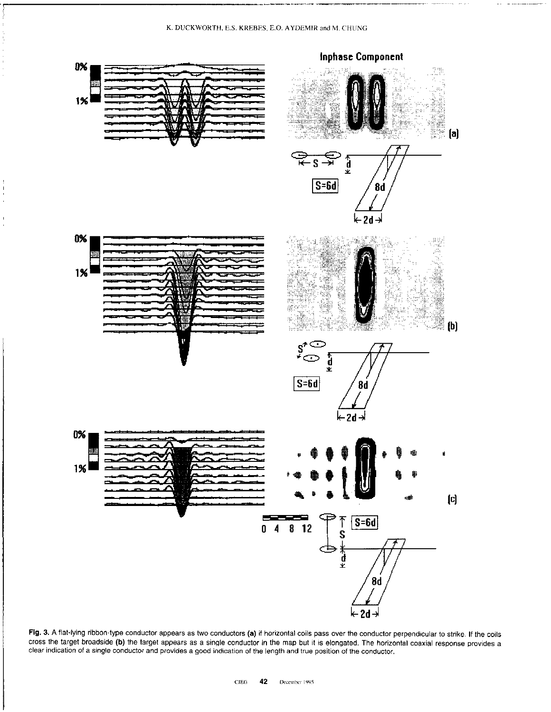# K. DUCKWORTH, E.S. KREBES, E.O. AYDEMIR and M. CHUNG



Fig. 3. A flat-lying ribbon-type conductor appears as two conductors (a) if horizontal coils pass over the conductor perpendicular to strike. If the coils cross the target broadside (b) the target appears as a single conductor in the map but it is elongated. The horizontal coaxial response provides a clear indication of a single conductor and provides a good indication of the length and true position of the conductor.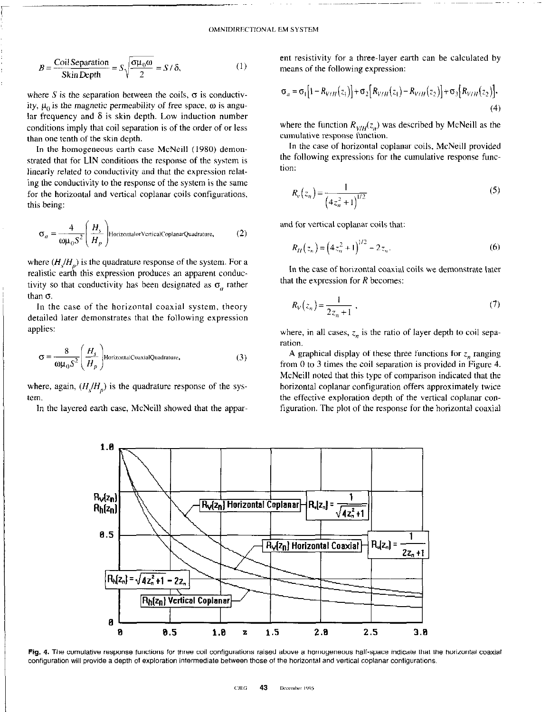----~~~

$$
B = \frac{\text{Coil Separation}}{\text{Skin Depth}} = S\sqrt{\frac{\sigma\mu_0\omega}{2}} = S/\delta,
$$
 (1)

where S is the separation between the coils,  $\sigma$  is conductivity,  $\mu_0$  is the magnetic permeability of free space,  $\omega$  is angular frequency and  $\delta$  is skin depth. Low induction number conditions imply that coil separation is of the order of or less than one tenth of the skin depth.

In the homogeneous earth case McNeill (1980) demonstrated that for LIN conditions the response of the system is linearly related to conductivity and that the expression relating the conductivity to the response of the system is the same for the horizontal and vertical coplanar coils configurations, this being:

$$
\sigma_a = \frac{4}{\omega \mu_0 S^2} \left( \frac{H_s}{H_p} \right) \text{HorizontalorVerticalCoplanarQuadrature,}
$$
 (2)

where  $(H/H_n)$  is the quadrature response of the system. For a realistic earth this expression produces an apparent conductivity so that conductivity has been designated as  $\sigma_a$  rather than  $\sigma$ .

In the case of the horizontal coaxial system, theory detailed later demonstrates that the following expression applies:

$$
\sigma = \frac{8}{\omega \mu_0 S^2} \left( \frac{H_s}{H_p} \right)
$$
HorizontalCouxialQuadrature, (3)

where, again,  $(H/H_n)$  is the quadrature response of the system.

In the layered earth case, McNeill showed that the appar-

ent resistivity for a three-layer earth can be calculated by means of the following expression:

$$
\sigma_a = \sigma_1 [1 - R_{V/H}(z_1)] + \sigma_2 [R_{V/H}(z_1) - R_{V/H}(z_2)] + \sigma_3 [R_{V/H}(z_2)].
$$
\n(4)

where the function  $R_{V/H}(z_n)$  was described by McNeill as the cumulative response function.

In the case of horizontal coplanar coils, McNeill provided the following expressions for the cumulative response function:

$$
R_v(z_n) = \frac{1}{(4z_n^2 + 1)^{1/2}}
$$
\n(5)

and for vertical coplanar coils that:

$$
R_H(z_n) = (4z_n^2 + 1)^{1/2} - 2z_n.
$$
 (6)

In the case of horizontal coaxial coils we demonstrate later that the expression for  *becomes:* 

$$
R_V(z_n) = \frac{1}{2z_n + 1} \,,\tag{7}
$$

where, in all cases,  $z_n$  is the ratio of layer depth to coil separation.

A graphical display of these three functions for  $z_n$  ranging from 0 to 3 times the coil separation is provided in Figure 4. McNeil1 noted that this type of comparison indicated that the horizontal coplanar configuration offers approximately twice the effective exploration depth of the vertical coplanar configuration. The plot of the response for the horizontal coaxial



**Fig. 4.** The cumulative response functions for three coil configurations raised above a homogeneous half-space indicate that the horizontal coaxial configuration will provide a depth of exploration intermediate between those of the horizontal and vertical coplanar configurations.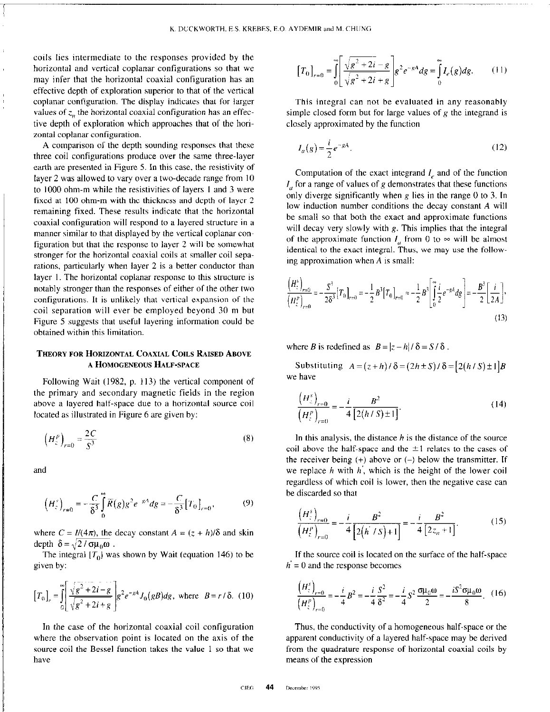coils lies intermediate to the responses provided by the horizontal and vertical coplanar configurations so that we may infer that the horizontal coaxial configuration has an effective depth of exploration superior to that of the vertical coplanar configuration. The display indicates that for larger values of  $z_n$ , the horizontal coaxial configuration has an effective depth of exploration which approaches that of the horizontal coplanar configuration.

A comparison of the depth sounding responses that these three coil configurations produce over the same three-layer earth are presented in Figure 5. In this case, the resistivity of layer 2 was allowed to vary over a two-decade range from IO to 1000 ohm-m while the resistivities of layers I and 3 were fixed at 100 ohm-m with the thickness and depth of layer 2 remaining fixed. These results indicate that the horizontal coaxial configuration will respond to a layered structure in a manner similar to that displayed by the vertical coplanar configuration but that the response to layer 2 will be somewhat stronger for the horizontal coaxial coils at smaller coil separations, particularly when layer 2 is a better conductor than layer 1. The horizontal coplanar response to this structure is notably stronger than the responses of either of the other two configurations. It is unlikely that vertical expansion of the coil separation will ever be employed beyond 30 m but Figure 5 suggests that useful layering information could be obtained within this limitation.

# THEORY FOR HORIZONTAL COAXIAL COILS RAISED ABOVE A HOMOGENEOUS HALF-SPACE

Following Wait (1982, p. 113) the vertical component of the primary and secondary magnetic fields in the region above a layered half-space due to a horizontal source coil located as illustrated in Figure 6 are given by:

$$
\left(H_z^p\right)_{r=0} = \frac{2C}{S^3} \tag{8}
$$

and

$$
\left(H_{z}^{s}\right)_{r=0} = -\frac{C}{\delta^{3}} \int_{0}^{\infty} \overline{R}(g) g^{2} e^{-gA} dg = -\frac{C}{\delta^{3}} \left[T_{0}\right]_{r=0},\tag{9}
$$

where  $C = I/(4\pi)$ , the decay constant  $A = (z + h)/\delta$  and skin depth  $\delta = \sqrt{2/\sigma \mu_0 \omega}$ .

The integral  $[T_0]$  was shown by Wait (equation 146) to be given by:

$$
[T_0]_r = \int_0^{\infty} \left[ \frac{\sqrt{g^2 + 2i - g}}{\sqrt{g^2 + 2i + g}} \right] g^2 e^{-gA} J_0(gB) dg, \text{ where } B = r/\delta. (10)
$$

In the case of the horizontal coaxial coil configuration where the observation point is located on the axis of the source coil the Bessel function takes the value I so that we have

$$
[T_0]_{r=0} = \int_0^\infty \left[ \frac{\sqrt{g^2 + 2i} - g}{\sqrt{g^2 + 2i} + g} \right] g^2 e^{-gA} dg = \int_0^\infty I_e(g) dg. \tag{11}
$$

This integral can not be evaluated in any reasonably simple closed form but for large values of  $g$  the integrand is closely approximated by the function

$$
I_a(g) = \frac{i}{2}e^{-gA}.\tag{12}
$$

Computation of the exact integrand  $I<sub>e</sub>$  and of the function  $I_{a}$  for a range of values of g demonstrates that these functions only diverge significantly when  $g$  lies in the range 0 to 3. In low induction number conditions the decay constant A will be small so that both the exact and approximate functions will decay very slowly with  $g$ . This implies that the integral of the approximate function  $I_a$  from 0 to  $\infty$  will be almost identical to the exact integral. Thus, we may use the following approximation when A is small:

$$
\frac{\left(H_{z}^{s}\right)_{r=0}}{\left(H_{z}^{p}\right)_{r=0}} = -\frac{S^{3}}{2\delta^{3}}\left[T_{0}\right]_{r=0} = -\frac{1}{2}B^{3}\left[T_{0}\right]_{r=0} \approx -\frac{1}{2}B^{3}\left[\int_{0}^{\infty}\frac{i}{2}e^{-gA}dg\right] = -\frac{B^{3}}{2}\left[\frac{i}{2A}\right],\tag{13}
$$

where B is redefined as  $B=|z-h|/\delta=S/\delta$ .

Substituting  $A=(z+h)/\delta=(2h\pm S)/\delta=[2(h/S)\pm1]B$ we have

$$
\frac{\left(H_z^s\right)_{r=0}}{\left(H_z^p\right)_{r=0}} = -\frac{i}{4} \frac{B^2}{\left[2(h/S) \pm 1\right]}.
$$
\n(14)

In this analysis, the distance  $h$  is the distance of the source coil above the half-space and the  $\pm 1$  relates to the cases of the receiver being  $(+)$  above or  $(-)$  below the transmitter. If we replace  $h$  with  $h$ , which is the height of the lower coil regardless of which coil is lower, then the negative case can be discarded so that

$$
\frac{\left(H_z^s\right)_{r=0}}{\left(H_z^p\right)_{r=0}} = -\frac{i}{4} \frac{B^2}{\left[2\left(h^2/S\right)+1\right]} = -\frac{i}{4} \frac{B^2}{\left[2z_n+1\right]}.
$$
\n(15)

If the source coil is located on the surface of the half-space  $h = 0$  and the response becomes

$$
\frac{\left(H_{z}^{p}\right)_{r=0}}{\left(H_{z}^{p}\right)_{r=0}} = -\frac{i}{4}B^{2} = -\frac{i}{4}\frac{S^{2}}{\delta^{2}} = -\frac{i}{4}S^{2}\frac{\sigma\mu_{0}\omega}{2} = -\frac{iS^{2}\sigma\mu_{0}\omega}{8}.
$$
 (16)

Thus, the conductivity of a homogeneous half-space or the apparent conductivity of a layered half-space may be derived from the quadrature response of horizontal coaxial coils by means of the expression

 $\mathcal{L}^{\text{max}}$ 

 $\mathbf{z} = \mathbf{x}$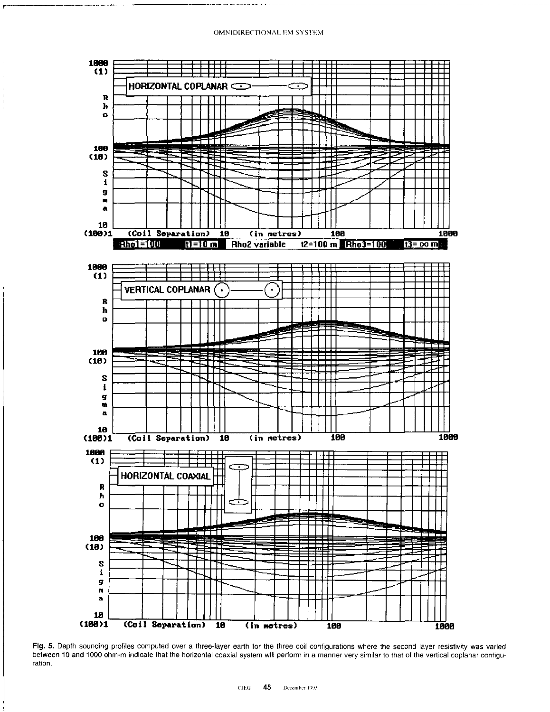

Fig. 5. Depth sounding profiles computed over a three-layer earth for the three coil configurations where the second layer resistivity was varied between 10 and 1000 ohm-m indicate that the horizontal coaxial system will perform in a manner very similar to that of the vertical coplanar configuration.